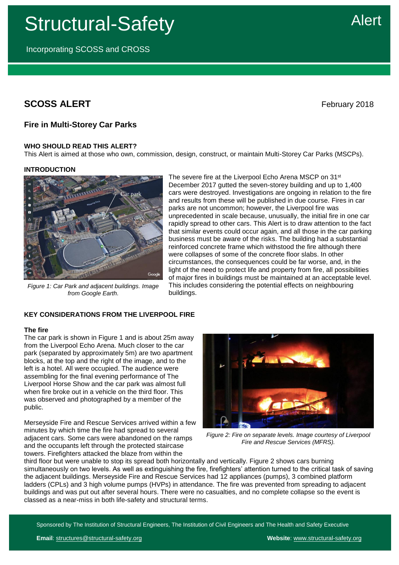Structural-Safety

Incorporating SCOSS and CROSS

# **SCOSS ALERT** February 2018

# **Fire in Multi-Storey Car Parks**

# **WHO SHOULD READ THIS ALERT?**

This Alert is aimed at those who own, commission, design, construct, or maintain Multi-Storey Car Parks (MSCPs).

buildings.

The severe fire at the Liverpool Echo Arena MSCP on 31<sup>st</sup> December 2017 gutted the seven-storey building and up to 1,400 cars were destroyed. Investigations are ongoing in relation to the fire and results from these will be published in due course. Fires in car

parks are not uncommon; however, the Liverpool fire was

unprecedented in scale because, unusually, the initial fire in one car rapidly spread to other cars. This Alert is to draw attention to the fact that similar events could occur again, and all those in the car parking business must be aware of the risks. The building had a substantial reinforced concrete frame which withstood the fire although there were collapses of some of the concrete floor slabs. In other circumstances, the consequences could be far worse, and, in the light of the need to protect life and property from fire, all possibilities of major fires in buildings must be maintained at an acceptable level. This includes considering the potential effects on neighbouring

# **INTRODUCTION**



*Figure 1: Car Park and adjacent buildings. Image from Google Earth.*

**KEY CONSIDERATIONS FROM THE LIVERPOOL FIRE**

# **The fire**

The car park is shown in Figure 1 and is about 25m away from the Liverpool Echo Arena. Much closer to the car park (separated by approximately 5m) are two apartment blocks, at the top and the right of the image, and to the left is a hotel. All were occupied. The audience were assembling for the final evening performance of The Liverpool Horse Show and the car park was almost full when fire broke out in a vehicle on the third floor. This was observed and photographed by a member of the public.

Merseyside Fire and Rescue Services arrived within a few minutes by which time the fire had spread to several adjacent cars. Some cars were abandoned on the ramps and the occupants left through the protected staircase towers. Firefighters attacked the blaze from within the



*Figure 2: Fire on separate levels. Image courtesy of Liverpool Fire and Rescue Services (MFRS).*

third floor but were unable to stop its spread both horizontally and vertically. Figure 2 shows cars burning simultaneously on two levels. As well as extinguishing the fire, firefighters' attention turned to the critical task of saving the adjacent buildings. Merseyside Fire and Rescue Services had 12 appliances (pumps), 3 combined platform ladders (CPLs) and 3 high volume pumps (HVPs) in attendance. The fire was prevented from spreading to adjacent buildings and was put out after several hours. There were no casualties, and no complete collapse so the event is classed as a near-miss in both life-safety and structural terms.

Sponsored by The Institution of Structural Engineers, The Institution of Civil Engineers and The Health and Safety Executive

Alert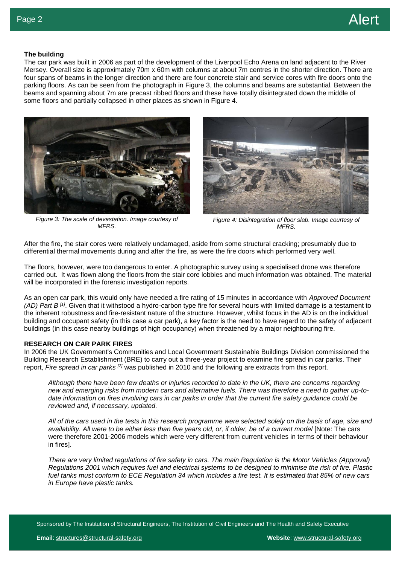# **The building**

The car park was built in 2006 as part of the development of the Liverpool Echo Arena on land adjacent to the River Mersey. Overall size is approximately 70m x 60m with columns at about 7m centres in the shorter direction. There are four spans of beams in the longer direction and there are four concrete stair and service cores with fire doors onto the parking floors. As can be seen from the photograph in Figure 3, the columns and beams are substantial. Between the beams and spanning about 7m are precast ribbed floors and these have totally disintegrated down the middle of some floors and partially collapsed in other places as shown in Figure 4.



*Figure 3: The scale of devastation. Image courtesy of MFRS.*



*Figure 4: Disintegration of floor slab. Image courtesy of MFRS.*

After the fire, the stair cores were relatively undamaged, aside from some structural cracking; presumably due to differential thermal movements during and after the fire, as were the fire doors which performed very well.

The floors, however, were too dangerous to enter. A photographic survey using a specialised drone was therefore carried out. It was flown along the floors from the stair core lobbies and much information was obtained. The material will be incorporated in the forensic investigation reports.

As an open car park, this would only have needed a fire rating of 15 minutes in accordance with *Approved Document (AD) Part B [1]*. Given that it withstood a hydro-carbon type fire for several hours with limited damage is a testament to the inherent robustness and fire-resistant nature of the structure. However, whilst focus in the AD is on the individual building and occupant safety (in this case a car park), a key factor is the need to have regard to the safety of adjacent buildings (in this case nearby buildings of high occupancy) when threatened by a major neighbouring fire.

#### **RESEARCH ON CAR PARK FIRES**

In 2006 the UK Government's Communities and Local Government Sustainable Buildings Division commissioned the Building Research Establishment (BRE) to carry out a three-year project to examine fire spread in car parks. Their report, *Fire spread in car parks [2]* was published in 2010 and the following are extracts from this report.

*Although there have been few deaths or injuries recorded to date in the UK, there are concerns regarding new and emerging risks from modern cars and alternative fuels. There was therefore a need to gather up-todate information on fires involving cars in car parks in order that the current fire safety guidance could be reviewed and, if necessary, updated.*

*All of the cars used in the tests in this research programme were selected solely on the basis of age, size and availability. All were to be either less than five years old, or, if older, be of a current model* [Note: The cars were therefore 2001-2006 models which were very different from current vehicles in terms of their behaviour in fires].

*There are very limited regulations of fire safety in cars. The main Regulation is the Motor Vehicles (Approval) Regulations 2001 which requires fuel and electrical systems to be designed to minimise the risk of fire. Plastic fuel tanks must conform to ECE Regulation 34 which includes a fire test. It is estimated that 85% of new cars in Europe have plastic tanks.*

Sponsored by The Institution of Structural Engineers, The Institution of Civil Engineers and The Health and Safety Executive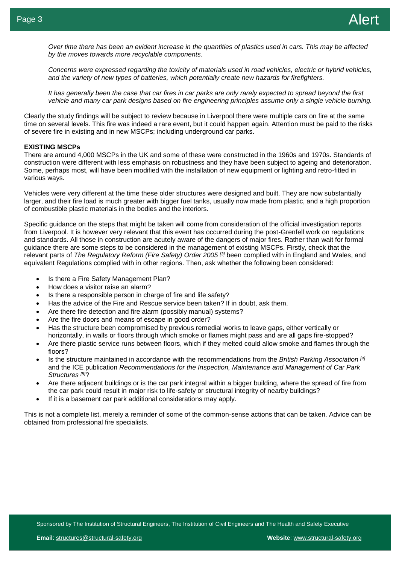*Over time there has been an evident increase in the quantities of plastics used in cars. This may be affected by the moves towards more recyclable components.*

*Concerns were expressed regarding the toxicity of materials used in road vehicles, electric or hybrid vehicles, and the variety of new types of batteries, which potentially create new hazards for firefighters.*

*It has generally been the case that car fires in car parks are only rarely expected to spread beyond the first vehicle and many car park designs based on fire engineering principles assume only a single vehicle burning.*

Clearly the study findings will be subject to review because in Liverpool there were multiple cars on fire at the same time on several levels. This fire was indeed a rare event, but it could happen again. Attention must be paid to the risks of severe fire in existing and in new MSCPs; including underground car parks.

#### **EXISTING MSCPs**

There are around 4,000 MSCPs in the UK and some of these were constructed in the 1960s and 1970s. Standards of construction were different with less emphasis on robustness and they have been subject to ageing and deterioration. Some, perhaps most, will have been modified with the installation of new equipment or lighting and retro-fitted in various ways.

Vehicles were very different at the time these older structures were designed and built. They are now substantially larger, and their fire load is much greater with bigger fuel tanks, usually now made from plastic, and a high proportion of combustible plastic materials in the bodies and the interiors.

Specific guidance on the steps that might be taken will come from consideration of the official investigation reports from Liverpool. It is however very relevant that this event has occurred during the post-Grenfell work on regulations and standards. All those in construction are acutely aware of the dangers of major fires. Rather than wait for formal guidance there are some steps to be considered in the management of existing MSCPs. Firstly, check that the relevant parts of *The Regulatory Reform (Fire Safety) Order 2005 [3]* been complied with in England and Wales, and equivalent Regulations complied with in other regions. Then, ask whether the following been considered:

- Is there a Fire Safety Management Plan?
- How does a visitor raise an alarm?
- Is there a responsible person in charge of fire and life safety?
- Has the advice of the Fire and Rescue service been taken? If in doubt, ask them.
- Are there fire detection and fire alarm (possibly manual) systems?
- Are the fire doors and means of escape in good order?
- Has the structure been compromised by previous remedial works to leave gaps, either vertically or horizontally, in walls or floors through which smoke or flames might pass and are all gaps fire-stopped?
- Are there plastic service runs between floors, which if they melted could allow smoke and flames through the floors?
- Is the structure maintained in accordance with the recommendations from the *British Parking Association [4]* and the ICE publication *Recommendations for the Inspection, Maintenance and Management of Car Park Structures [5]*?
- Are there adjacent buildings or is the car park integral within a bigger building, where the spread of fire from the car park could result in major risk to life-safety or structural integrity of nearby buildings?
- If it is a basement car park additional considerations may apply.

This is not a complete list, merely a reminder of some of the common-sense actions that can be taken. Advice can be obtained from professional fire specialists.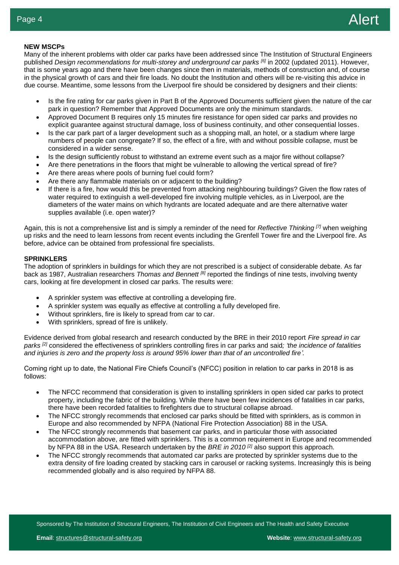# **NEW MSCPs**

Many of the inherent problems with older car parks have been addressed since The Institution of Structural Engineers published *Design recommendations for multi-storey and underground car parks [6]* in 2002 (updated 2011). However, that is some years ago and there have been changes since then in materials, methods of construction and, of course in the physical growth of cars and their fire loads. No doubt the Institution and others will be re-visiting this advice in due course. Meantime, some lessons from the Liverpool fire should be considered by designers and their clients:

- Is the fire rating for car parks given in Part B of the Approved Documents sufficient given the nature of the car park in question? Remember that Approved Documents are only the minimum standards.
- Approved Document B requires only 15 minutes fire resistance for open sided car parks and provides no explicit guarantee against structural damage, loss of business continuity, and other consequential losses.
- Is the car park part of a larger development such as a shopping mall, an hotel, or a stadium where large numbers of people can congregate? If so, the effect of a fire, with and without possible collapse, must be considered in a wider sense.
- Is the design sufficiently robust to withstand an extreme event such as a major fire without collapse?
- Are there penetrations in the floors that might be vulnerable to allowing the vertical spread of fire?
- Are there areas where pools of burning fuel could form?
- Are there any flammable materials on or adjacent to the building?
- diameters of the water mains on which hydrants are located adequate and are there alternative water<br>supplies available (i.e. open water)? If there is a fire, how would this be prevented from attacking neighbouring buildings? Given the flow rates of water required to extinguish a well-developed fire involving multiple vehicles, as in Liverpool, are the supplies available (i.e. open water)?

Again, this is not a comprehensive list and is simply a reminder of the need for *Reflective Thinking [7]* when weighing up risks and the need to learn lessons from recent events including the Grenfell Tower fire and the Liverpool fire. As before, advice can be obtained from professional fire specialists.

#### **SPRINKLERS**

The adoption of sprinklers in buildings for which they are not prescribed is a subject of considerable debate. As far back as 1987, Australian researchers *Thomas and Bennett [8]* reported the findings of nine tests, involving twenty cars, looking at fire development in closed car parks. The results were:

- A sprinkler system was effective at controlling a developing fire.
- A sprinkler system was equally as effective at controlling a fully developed fire.
- Without sprinklers, fire is likely to spread from car to car.
- With sprinklers, spread of fire is unlikely.

Evidence derived from global research and research conducted by the BRE in their 2010 report *Fire spread in car parks [2]* considered the effectiveness of sprinklers controlling fires in car parks and said*; 'the incidence of fatalities and injuries is zero and the property loss is around 95% lower than that of an uncontrolled fire'.*

Coming right up to date, the National Fire Chiefs Council's (NFCC) position in relation to car parks in 2018 is as follows:

- The NFCC recommend that consideration is given to installing sprinklers in open sided car parks to protect property, including the fabric of the building. While there have been few incidences of fatalities in car parks, there have been recorded fatalities to firefighters due to structural collapse abroad.
- The NFCC strongly recommends that enclosed car parks should be fitted with sprinklers, as is common in Europe and also recommended by [NFPA \(National Fire Protection Association\) 88](https://www.google.co.uk/url?sa=t&rct=j&q=&esrc=s&source=web&cd=1&ved=0ahUKEwiI4qqW2NLYAhWrLMAKHZUMAlgQFggnMAA&url=https%3A%2F%2Fwww.nfpa.org%2F88atc&usg=AOvVaw2FQ9lYEKmsQAfPMp2evEMN) in the USA.
- The NFCC strongly recommends that basement car parks, and in particular those with associated accommodation above, are fitted with sprinklers. This is a common requirement in Europe and recommended by NFPA 88 in the USA. Research undertaken by the *[BRE in 2010](https://www.bre.co.uk/page.jsp?id=1524) [2]* also support this approach.
- The NFCC strongly recommends that automated car parks are protected by sprinkler systems due to the extra density of fire loading created by stacking cars in carousel or racking systems. Increasingly this is being recommended globally and is also required by NFPA 88.